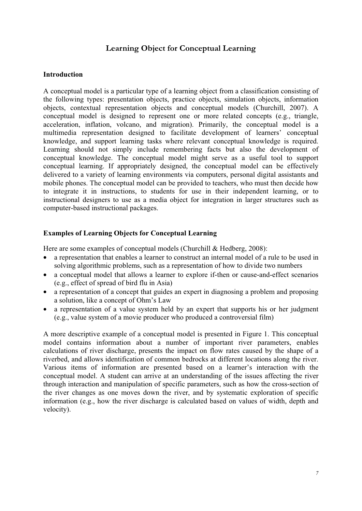# **Learning Object for Conceptual Learning**

#### **Introduction**

A conceptual model is a particular type of a learning object from a classification consisting of the following types: presentation objects, practice objects, simulation objects, information objects, contextual representation objects and conceptual models (Churchill, 2007). A conceptual model is designed to represent one or more related concepts (e.g., triangle, acceleration, inflation, volcano, and migration). Primarily, the conceptual model is a multimedia representation designed to facilitate development of learners' conceptual knowledge, and support learning tasks where relevant conceptual knowledge is required. Learning should not simply include remembering facts but also the development of conceptual knowledge. The conceptual model might serve as a useful tool to support conceptual learning. If appropriately designed, the conceptual model can be effectively delivered to a variety of learning environments via computers, personal digital assistants and mobile phones. The conceptual model can be provided to teachers, who must then decide how to integrate it in instructions, to students for use in their independent learning, or to instructional designers to use as a media object for integration in larger structures such as computer-based instructional packages.

### **Examples of Learning Objects for Conceptual Learning**

Here are some examples of conceptual models (Churchill & Hedberg, 2008):

- a representation that enables a learner to construct an internal model of a rule to be used in solving algorithmic problems, such as a representation of how to divide two numbers
- a conceptual model that allows a learner to explore if-then or cause-and-effect scenarios (e.g., effect of spread of bird flu in Asia)
- a representation of a concept that guides an expert in diagnosing a problem and proposing a solution, like a concept of Ohm's Law
- a representation of a value system held by an expert that supports his or her judgment (e.g., value system of a movie producer who produced a controversial film)

A more descriptive example of a conceptual model is presented in Figure 1. This conceptual model contains information about a number of important river parameters, enables calculations of river discharge, presents the impact on flow rates caused by the shape of a riverbed, and allows identification of common bedrocks at different locations along the river. Various items of information are presented based on a learner's interaction with the conceptual model. A student can arrive at an understanding of the issues affecting the river through interaction and manipulation of specific parameters, such as how the cross-section of the river changes as one moves down the river, and by systematic exploration of specific information (e.g., how the river discharge is calculated based on values of width, depth and velocity).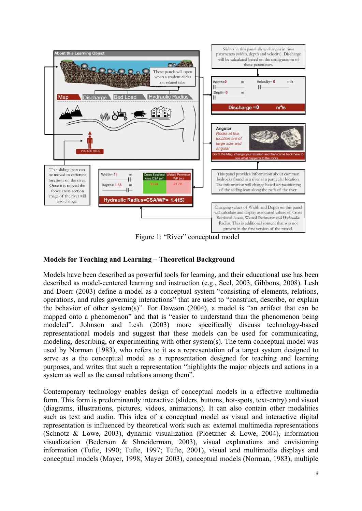

Figure 1: "River" conceptual model

## **Models for Teaching and Learning – Theoretical Background**

Models have been described as powerful tools for learning, and their educational use has been described as model-centered learning and instruction (e.g., Seel, 2003, Gibbons, 2008). Lesh and Doerr (2003) define a model as a conceptual system "consisting of elements, relations, operations, and rules governing interactions" that are used to "construct, describe, or explain the behavior of other system(s)". For Dawson (2004), a model is "an artifact that can be mapped onto a phenomenon" and that is "easier to understand than the phenomenon being modeled". Johnson and Lesh (2003) more specifically discuss technology-based representational models and suggest that these models can be used for communicating, modeling, describing, or experimenting with other system(s). The term conceptual model was used by Norman (1983), who refers to it as a representation of a target system designed to serve as a the conceptual model as a representation designed for teaching and learning purposes, and writes that such a representation "highlights the major objects and actions in a system as well as the causal relations among them".

Contemporary technology enables design of conceptual models in a effective multimedia form. This form is predominantly interactive (sliders, buttons, hot-spots, text-entry) and visual (diagrams, illustrations, pictures, videos, animations). It can also contain other modalities such as text and audio. This idea of a conceptual model as visual and interactive digital representation is influenced by theoretical work such as: external multimedia representations (Schnotz & Lowe, 2003), dynamic visualization (Ploetzner & Lowe, 2004), information visualization (Bederson & Shneiderman, 2003), visual explanations and envisioning information (Tufte, 1990; Tufte, 1997; Tufte, 2001), visual and multimedia displays and conceptual models (Mayer, 1998; Mayer 2003), conceptual models (Norman, 1983), multiple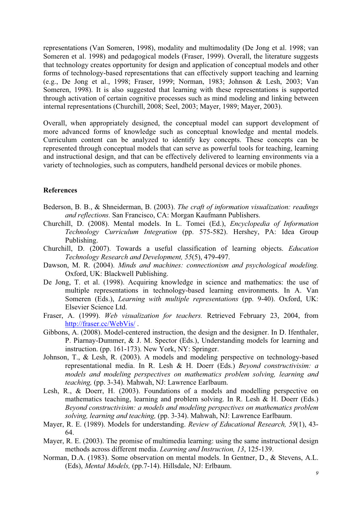representations (Van Someren, 1998), modality and multimodality (De Jong et al. 1998; van Someren et al. 1998) and pedagogical models (Fraser, 1999). Overall, the literature suggests that technology creates opportunity for design and application of conceptual models and other forms of technology-based representations that can effectively support teaching and learning (e.g., De Jong et al., 1998; Fraser, 1999; Norman, 1983; Johnson & Lesh, 2003; Van Someren, 1998). It is also suggested that learning with these representations is supported through activation of certain cognitive processes such as mind modeling and linking between internal representations (Churchill, 2008; Seel, 2003; Mayer, 1989; Mayer, 2003).

Overall, when appropriately designed, the conceptual model can support development of more advanced forms of knowledge such as conceptual knowledge and mental models. Curriculum content can be analyzed to identify key concepts. These concepts can be represented through conceptual models that can serve as powerful tools for teaching, learning and instructional design, and that can be effectively delivered to learning environments via a variety of technologies, such as computers, handheld personal devices or mobile phones.

#### **References**

- Bederson, B. B., & Shneiderman, B. (2003). *The craft of information visualization: readings and reflections.* San Francisco, CA: Morgan Kaufmann Publishers.
- Churchill, D. (2008). Mental models. In L. Tomei (Ed.), *Encyclopedia of Information Technology Curriculum Integration* (pp. 575-582). Hershey, PA: Idea Group Publishing.
- Churchill, D. (2007). Towards a useful classification of learning objects. *Education Technology Research and Development, 55*(5), 479-497.
- Dawson, M. R. (2004). *Minds and machines: connectionism and psychological modeling.* Oxford, UK: Blackwell Publishing.
- De Jong, T. et al. (1998). Acquiring knowledge in science and mathematics: the use of multiple representations in technology-based learning environments. In A. Van Someren (Eds.), *Learning with multiple representations* (pp. 9-40). Oxford, UK: Elsevier Science Ltd.
- Fraser, A. (1999). *Web visualization for teachers.* Retrieved February 23, 2004, from http://fraser.cc/WebVis/ .
- Gibbons, A. (2008). Model-centered instruction, the design and the designer. In D. Ifenthaler, P. Piarnay-Dummer, & J. M. Spector (Eds.), Understanding models for learning and instruction. (pp. 161-173). New York, NY: Springer.
- Johnson, T., & Lesh, R. (2003). A models and modeling perspective on technology-based representational media. In R. Lesh & H. Doerr (Eds.) *Beyond constructivisim: a models and modeling perspectives on mathematics problem solving, learning and teaching,* (pp. 3-34). Mahwah, NJ: Lawrence Earlbaum.
- Lesh, R., & Doerr, H. (2003). Foundations of a models and modelling perspective on mathematics teaching, learning and problem solving. In R. Lesh & H. Doerr (Eds.) *Beyond constructivisim: a models and modeling perspectives on mathematics problem solving, learning and teaching,* (pp. 3-34). Mahwah, NJ: Lawrence Earlbaum.
- Mayer, R. E. (1989). Models for understanding. *Review of Educational Research, 59*(1), 43- 64.
- Mayer, R. E. (2003). The promise of multimedia learning: using the same instructional design methods across different media. *Learning and Instruction, 13*, 125-139.
- Norman, D.A. (1983). Some observation on mental models. In Gentner, D., & Stevens, A.L. (Eds), *Mental Models,* (pp.7-14). Hillsdale, NJ: Erlbaum.